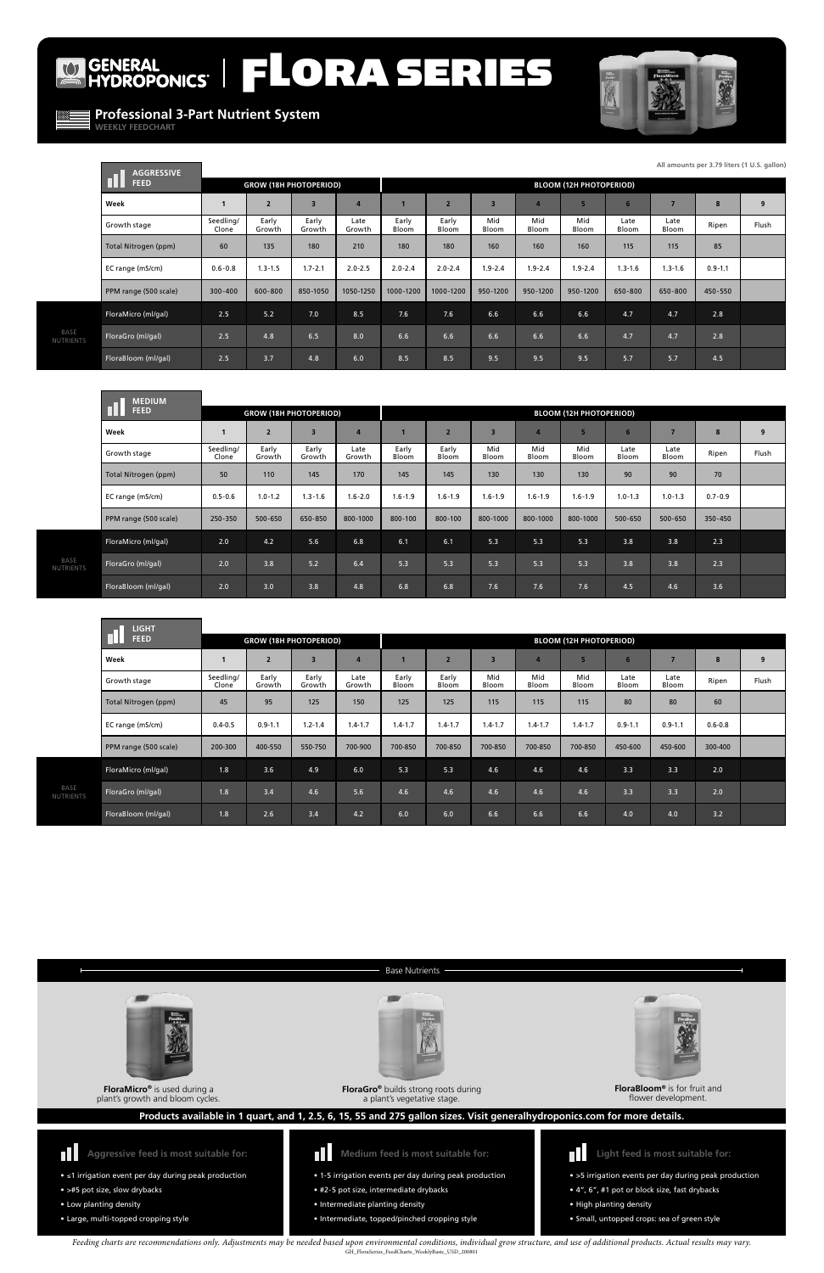# GENERAL FLORA SERIES



**Professional 3-Part Nutrient System**

**WEEKLY FEEDCHART**

 $\omega$ 

**FloraGro®** builds strong roots during a plant's vegetative stage.



**FloraMicro®** is used during a plant's growth and bloom cycles.





**FloraBloom®** is for fruit and flower development.

- ≤1 irrigation event per day during peak production
- >#5 pot size, slow drybacks
- Low planting density
- Large, multi-topped cropping style



**Aggressive feed is most suitable for:**

- **Medium feed is most suitable for:**
- 1-5 irrigation events per day during peak production
- #2-5 pot size, intermediate drybacks
- Intermediate planting density
- Intermediate, topped/pinched cropping style



- >5 irrigation events per day during peak production
- 4", 6", #1 pot or block size, fast drybacks
- High planting density
- Small, untopped crops: sea of green style

**Light feed is most suitable for:**

### **Products available in 1 quart, and 1, 2.5, 6, 15, 55 and 275 gallon sizes. Visit generalhydroponics.com for more details.**

#### Base Nutrients

*Feeding charts are recommendations only. Adjustments may be needed based upon environmental conditions, individual grow structure, and use of additional products. Actual results may vary.*  GH\_FloraSeries\_FeedCharts\_WeeklyBasic\_USD\_200801

|                          | <b>AGGRESSIVE</b>     |                    |                               |                         |                |                |                                |                |                |              |               |                |             | All amounts per 3.79 liters (1 U.S. gallon) |
|--------------------------|-----------------------|--------------------|-------------------------------|-------------------------|----------------|----------------|--------------------------------|----------------|----------------|--------------|---------------|----------------|-------------|---------------------------------------------|
|                          | <b>FEED</b>           |                    | <b>GROW (18H PHOTOPERIOD)</b> |                         |                |                | <b>BLOOM (12H PHOTOPERIOD)</b> |                |                |              |               |                |             |                                             |
|                          | Week                  |                    | $\overline{2}$                | $\overline{\mathbf{3}}$ | $\overline{4}$ |                | $\overline{2}$                 | $\overline{3}$ | $\overline{a}$ | 5            | 6             | $\overline{ }$ | 8           | 9                                           |
|                          | Growth stage          | Seedling/<br>Clone | Early<br>Growth               | Early<br>Growth         | Late<br>Growth | Early<br>Bloom | Early<br>Bloom                 | Mid<br>Bloom   | Mid<br>Bloom   | Mid<br>Bloom | Late<br>Bloom | Late<br>Bloom  | Ripen       | Flush                                       |
|                          | Total Nitrogen (ppm)  | 60                 | 135                           | 180                     | 210            | 180            | 180                            | 160            | 160            | 160          | 115           | 115            | 85          |                                             |
|                          | EC range (mS/cm)      | $0.6 - 0.8$        | $1.3 - 1.5$                   | $1.7 - 2.1$             | $2.0 - 2.5$    | $2.0 - 2.4$    | $2.0 - 2.4$                    | $1.9 - 2.4$    | $1.9 - 2.4$    | $1.9 - 2.4$  | $1.3 - 1.6$   | $1.3 - 1.6$    | $0.9 - 1.1$ |                                             |
|                          | PPM range (500 scale) | 300-400            | 600-800                       | 850-1050                | 1050-1250      | 1000-1200      | 1000-1200                      | 950-1200       | 950-1200       | 950-1200     | 650-800       | 650-800        | 450-550     |                                             |
| BASE<br><b>IUTRIENTS</b> | FloraMicro (ml/gal)   | 2.5                | 5.2                           | 7.0                     | 8.5            | 7.6            | 7.6                            | 6.6            | 6.6            | 6.6          | 4.7           | 4.7            | 2.8         |                                             |
|                          | FloraGro (ml/gal)     | 2.5                | 4.8                           | 6.5                     | 8.0            | 6.6            | 6.6                            | 6.6            | 6.6            | 6.6          | 4.7           | 4.7            | 2.8         |                                             |
|                          | FloraBloom (ml/gal)   | 2.5                | 3.7                           | 4.8                     | 6.0            | 8.5            | 8.5                            | 9.5            | 9.5            | 9.5          | 5.7           | 5.7            | 4.5         |                                             |

|                          | <b>MEDIUM</b>         |                    |                               |                         |                |                |                |                         |              |                                |               |               |             |       |
|--------------------------|-----------------------|--------------------|-------------------------------|-------------------------|----------------|----------------|----------------|-------------------------|--------------|--------------------------------|---------------|---------------|-------------|-------|
|                          | <b>FEED</b>           |                    | <b>GROW (18H PHOTOPERIOD)</b> |                         |                |                |                |                         |              | <b>BLOOM (12H PHOTOPERIOD)</b> |               |               |             |       |
|                          | Week                  |                    | $\overline{2}$                | $\overline{\mathbf{3}}$ |                |                |                | $\overline{\mathbf{3}}$ |              | 5                              | 6             |               | 8           | 9     |
|                          | Growth stage          | Seedling/<br>Clone | Early<br>Growth               | Early<br>Growth         | Late<br>Growth | Early<br>Bloom | Early<br>Bloom | Mid<br>Bloom            | Mid<br>Bloom | Mid<br>Bloom                   | Late<br>Bloom | Late<br>Bloom | Ripen       | Flush |
|                          | Total Nitrogen (ppm)  | 50                 | 110                           | 145                     | 170            | 145            | 145            | 130                     | 130          | 130                            | 90            | 90            | 70          |       |
|                          | EC range (mS/cm)      | $0.5 - 0.6$        | $1.0 - 1.2$                   | $1.3 - 1.6$             | $1.6 - 2.0$    | $1.6 - 1.9$    | $1.6 - 1.9$    | $1.6 - 1.9$             | $1.6 - 1.9$  | $1.6 - 1.9$                    | $1.0 - 1.3$   | $1.0 - 1.3$   | $0.7 - 0.9$ |       |
|                          | PPM range (500 scale) | 250-350            | 500-650                       | 650-850                 | 800-1000       | 800-100        | 800-100        | 800-1000                | 800-1000     | 800-1000                       | 500-650       | 500-650       | 350-450     |       |
| BASE<br><b>NUTRIENTS</b> | FloraMicro (ml/gal)   | 2.0                | 4.2                           | 5.6                     | 6.8            | 6.1            | 6.1            | 5.3                     | 5.3          | 5.3                            | 3.8           | 3.8           | 2.3         |       |
|                          | FloraGro (ml/gal)     | 2.0                | 3.8                           | 5.2                     | 6.4            | 5.3            | 5.3            | 5.3                     | 5.3          | 5.3                            | 3.8           | 3.8           | 2.3         |       |
|                          | FloraBloom (ml/gal)   | 2.0                | 3.0                           | 3.8                     | 4.8            | 6.8            | 6.8            | 7.6                     | 7.6          | 7.6                            | 4.5           | 4.6           | 3.6         |       |

|                   | <b>LIGHT</b>          |                               |                 |                         |                |                |                |                                |                |              |                |               |             |       |
|-------------------|-----------------------|-------------------------------|-----------------|-------------------------|----------------|----------------|----------------|--------------------------------|----------------|--------------|----------------|---------------|-------------|-------|
|                   | <b>FEED</b>           | <b>GROW (18H PHOTOPERIOD)</b> |                 |                         |                |                |                | <b>BLOOM (12H PHOTOPERIOD)</b> |                |              |                |               |             |       |
|                   | Week                  |                               | $\overline{2}$  | $\overline{\mathbf{3}}$ | $\overline{4}$ |                | $\overline{2}$ | $\overline{3}$                 | $\overline{4}$ |              | $6\phantom{1}$ | 7             | 8           | 9     |
|                   | Growth stage          | Seedling/<br>Clone            | Early<br>Growth | Early<br>Growth         | Late<br>Growth | Early<br>Bloom | Early<br>Bloom | Mid<br>Bloom                   | Mid<br>Bloom   | Mid<br>Bloom | Late<br>Bloom  | Late<br>Bloom | Ripen       | Flush |
|                   | Total Nitrogen (ppm)  | 45                            | 95              | 125                     | 150            | 125            | 125            | 115                            | 115            | 115          | 80             | 80            | 60          |       |
|                   | EC range (mS/cm)      | $0.4 - 0.5$                   | $0.9 - 1.1$     | $1.2 - 1.4$             | $1.4 - 1.7$    | $1.4 - 1.7$    | $1.4 - 1.7$    | $1.4 - 1.7$                    | $1.4 - 1.7$    | $1.4 - 1.7$  | $0.9 - 1.1$    | $0.9 - 1.1$   | $0.6 - 0.8$ |       |
|                   | PPM range (500 scale) | 200-300                       | 400-550         | 550-750                 | 700-900        | 700-850        | 700-850        | 700-850                        | 700-850        | 700-850      | 450-600        | 450-600       | 300-400     |       |
| BASE<br>NUTRIENTS | FloraMicro (ml/gal)   | 1.8                           | 3.6             | 4.9                     | 6.0            | 5.3            | 5.3            | 4.6                            | 4.6            | 4.6          | 3.3            | 3.3           | 2.0         |       |
|                   | FloraGro (ml/gal)     | 1.8                           | 3.4             | 4.6                     | 5.6            | 4.6            | 4.6            | 4.6                            | 4.6            | 4.6          | 3.3            | 3.3           | 2.0         |       |
|                   | FloraBloom (ml/gal)   | 1.8                           | 2.6             | 3.4                     | 4.2            | 6.0            | 6.0            | 6.6                            | 6.6            | 6.6          | 4.0            | 4.0           | 3.2         |       |

**All amounts per 3.79 liters (1 U.S. gallon)**